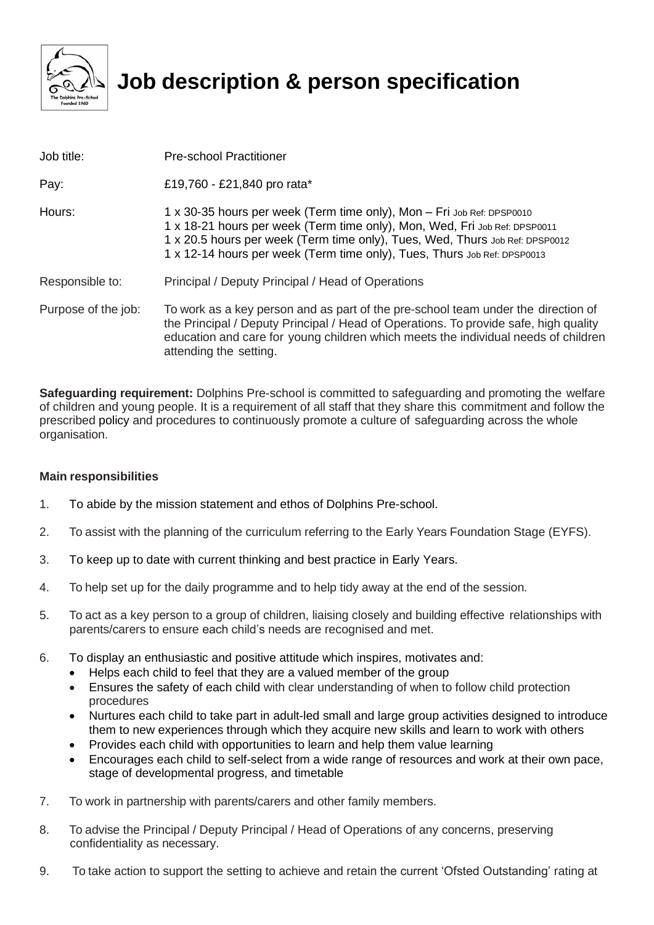

## **Job description & person specification**

| Job title:          | <b>Pre-school Practitioner</b>                                                                                                                                                                                                                                                                                   |  |
|---------------------|------------------------------------------------------------------------------------------------------------------------------------------------------------------------------------------------------------------------------------------------------------------------------------------------------------------|--|
| Pay:                | £19,760 - £21,840 pro rata*                                                                                                                                                                                                                                                                                      |  |
| Hours:              | 1 x 30-35 hours per week (Term time only), Mon - Fri Job Ref: DPSP0010<br>1 x 18-21 hours per week (Term time only), Mon, Wed, Fri Job Ref: DPSP0011<br>1 x 20.5 hours per week (Term time only), Tues, Wed, Thurs Job Ref: DPSP0012<br>1 x 12-14 hours per week (Term time only), Tues, Thurs Job Ref: DPSP0013 |  |
| Responsible to:     | Principal / Deputy Principal / Head of Operations                                                                                                                                                                                                                                                                |  |
| Purpose of the job: | To work as a key person and as part of the pre-school team under the direction of<br>the Principal / Deputy Principal / Head of Operations. To provide safe, high quality<br>education and care for young children which meets the individual needs of children<br>attending the setting.                        |  |

**Safeguarding requirement:** Dolphins Pre-school is committed to safeguarding and promoting the welfare of children and young people. It is a requirement of all staff that they share this commitment and follow the prescribed policy and procedures to continuously promote a culture of safeguarding across the whole organisation.

## **Main responsibilities**

- 1. To abide by the mission statement and ethos of Dolphins Pre-school.
- 2. To assist with the planning of the curriculum referring to the Early Years Foundation Stage (EYFS).
- 3. To keep up to date with current thinking and best practice in Early Years.
- 4. To help set up for the daily programme and to help tidy away at the end of the session.
- 5. To act as a key person to a group of children, liaising closely and building effective relationships with parents/carers to ensure each child's needs are recognised and met.
- 6. To display an enthusiastic and positive attitude which inspires, motivates and:
	- Helps each child to feel that they are a valued member of the group
	- Ensures the safety of each child with clear understanding of when to follow child protection procedures
	- Nurtures each child to take part in adult-led small and large group activities designed to introduce them to new experiences through which they acquire new skills and learn to work with others
	- Provides each child with opportunities to learn and help them value learning
	- Encourages each child to self-select from a wide range of resources and work at their own pace, stage of developmental progress, and timetable
- 7. To work in partnership with parents/carers and other family members.
- 8. To advise the Principal / Deputy Principal / Head of Operations of any concerns, preserving confidentiality as necessary.
- 9. To take action to support the setting to achieve and retain the current 'Ofsted Outstanding' rating at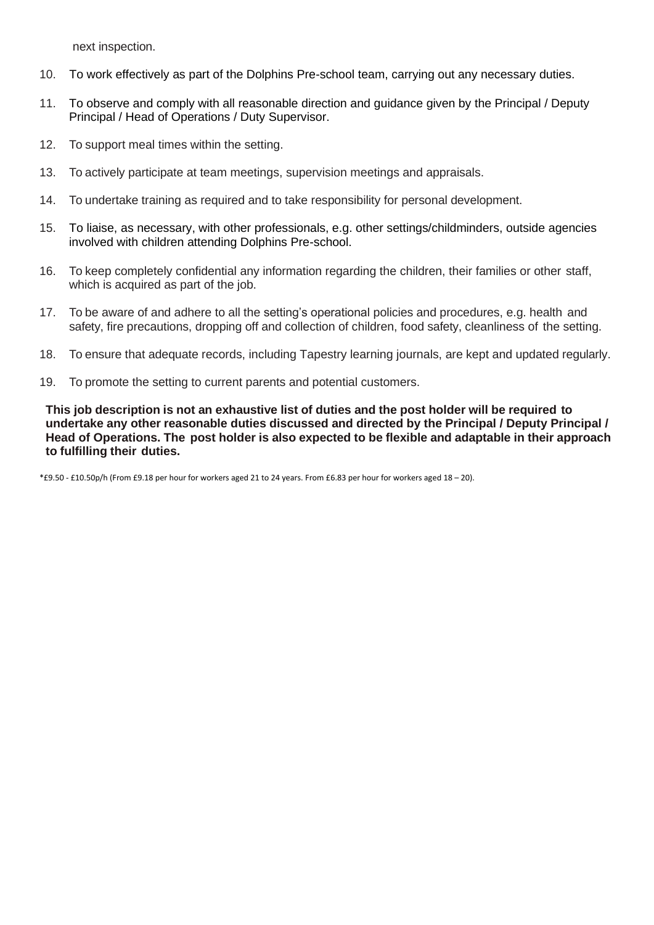next inspection.

- 10. To work effectively as part of the Dolphins Pre-school team, carrying out any necessary duties.
- 11. To observe and comply with all reasonable direction and guidance given by the Principal / Deputy Principal / Head of Operations / Duty Supervisor.
- 12. To support meal times within the setting.
- 13. To actively participate at team meetings, supervision meetings and appraisals.
- 14. To undertake training as required and to take responsibility for personal development.
- 15. To liaise, as necessary, with other professionals, e.g. other settings/childminders, outside agencies involved with children attending Dolphins Pre-school.
- 16. To keep completely confidential any information regarding the children, their families or other staff, which is acquired as part of the job.
- 17. To be aware of and adhere to all the setting's operational policies and procedures, e.g. health and safety, fire precautions, dropping off and collection of children, food safety, cleanliness of the setting.
- 18. To ensure that adequate records, including Tapestry learning journals, are kept and updated regularly.
- 19. To promote the setting to current parents and potential customers.

**This job description is not an exhaustive list of duties and the post holder will be required to undertake any other reasonable duties discussed and directed by the Principal / Deputy Principal / Head of Operations. The post holder is also expected to be flexible and adaptable in their approach to fulfilling their duties.**

\*£9.50 - £10.50p/h (From £9.18 per hour for workers aged 21 to 24 years. From £6.83 per hour for workers aged 18 – 20).